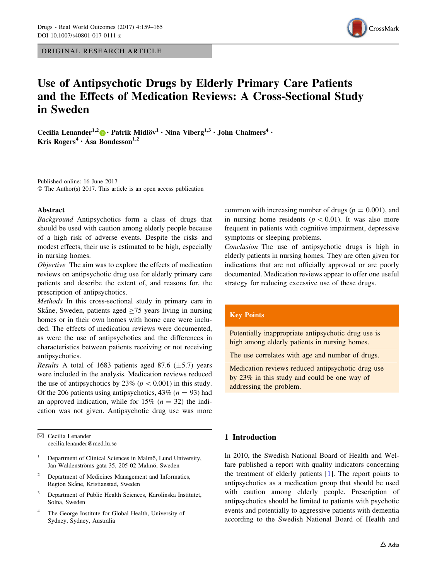ORIGINAL RESEARCH ARTICLE



# Use of Antipsychotic Drugs by Elderly Primary Care Patients and the Effects of Medication Reviews: A Cross-Sectional Study in Sweden

Cecilia Lenander<sup>1,2</sup> • Patrik Midlöv<sup>1</sup> • Nina Viberg<sup>1,3</sup> • John Chalmers<sup>4</sup> • Kris Rogers<sup>4</sup> · Åsa Bondesson<sup>1,2</sup>

Published online: 16 June 2017 © The Author(s) 2017. This article is an open access publication

#### Abstract

Background Antipsychotics form a class of drugs that should be used with caution among elderly people because of a high risk of adverse events. Despite the risks and modest effects, their use is estimated to be high, especially in nursing homes.

Objective The aim was to explore the effects of medication reviews on antipsychotic drug use for elderly primary care patients and describe the extent of, and reasons for, the prescription of antipsychotics.

Methods In this cross-sectional study in primary care in Skåne, Sweden, patients aged  $>75$  years living in nursing homes or in their own homes with home care were included. The effects of medication reviews were documented, as were the use of antipsychotics and the differences in characteristics between patients receiving or not receiving antipsychotics.

Results A total of 1683 patients aged 87.6  $(\pm 5.7)$  years were included in the analysis. Medication reviews reduced the use of antipsychotics by 23% ( $p < 0.001$ ) in this study. Of the 206 patients using antipsychotics,  $43\%$  ( $n = 93$ ) had an approved indication, while for 15%  $(n = 32)$  the indication was not given. Antipsychotic drug use was more

 $\boxtimes$  Cecilia Lenander cecilia.lenander@med.lu.se

- <sup>1</sup> Department of Clinical Sciences in Malmö, Lund University, Jan Waldenströms gata 35, 205 02 Malmö, Sweden
- <sup>2</sup> Department of Medicines Management and Informatics, Region Skåne, Kristianstad, Sweden
- <sup>3</sup> Department of Public Health Sciences, Karolinska Institutet, Solna, Sweden
- <sup>4</sup> The George Institute for Global Health, University of Sydney, Sydney, Australia

common with increasing number of drugs ( $p = 0.001$ ), and in nursing home residents ( $p < 0.01$ ). It was also more frequent in patients with cognitive impairment, depressive symptoms or sleeping problems.

Conclusion The use of antipsychotic drugs is high in elderly patients in nursing homes. They are often given for indications that are not officially approved or are poorly documented. Medication reviews appear to offer one useful strategy for reducing excessive use of these drugs.

## Key Points

Potentially inappropriate antipsychotic drug use is high among elderly patients in nursing homes.

The use correlates with age and number of drugs.

Medication reviews reduced antipsychotic drug use by 23% in this study and could be one way of addressing the problem.

## 1 Introduction

In 2010, the Swedish National Board of Health and Welfare published a report with quality indicators concerning the treatment of elderly patients [\[1](#page-6-0)]. The report points to antipsychotics as a medication group that should be used with caution among elderly people. Prescription of antipsychotics should be limited to patients with psychotic events and potentially to aggressive patients with dementia according to the Swedish National Board of Health and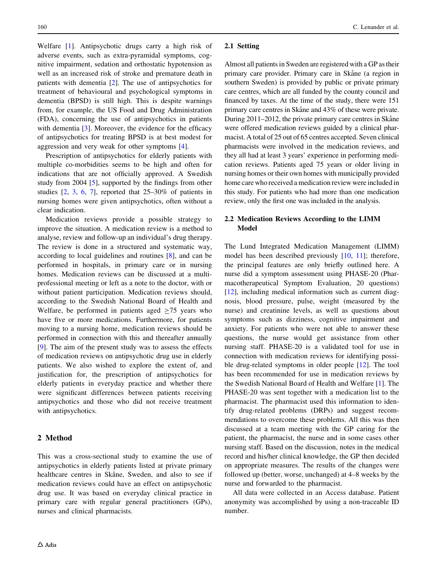Welfare [[1\]](#page-6-0). Antipsychotic drugs carry a high risk of adverse events, such as extra-pyramidal symptoms, cognitive impairment, sedation and orthostatic hypotension as well as an increased risk of stroke and premature death in patients with dementia [\[2](#page-6-0)]. The use of antipsychotics for treatment of behavioural and psychological symptoms in dementia (BPSD) is still high. This is despite warnings from, for example, the US Food and Drug Administration (FDA), concerning the use of antipsychotics in patients with dementia [[3\]](#page-6-0). Moreover, the evidence for the efficacy of antipsychotics for treating BPSD is at best modest for aggression and very weak for other symptoms [[4\]](#page-6-0).

Prescription of antipsychotics for elderly patients with multiple co-morbidities seems to be high and often for indications that are not officially approved. A Swedish study from 2004 [\[5](#page-6-0)], supported by the findings from other studies [[2,](#page-6-0) [3,](#page-6-0) [6](#page-6-0), [7](#page-6-0)], reported that 25–30% of patients in nursing homes were given antipsychotics, often without a clear indication.

Medication reviews provide a possible strategy to improve the situation. A medication review is a method to analyse, review and follow-up an individual's drug therapy. The review is done in a structured and systematic way, according to local guidelines and routines [[8\]](#page-6-0), and can be performed in hospitals, in primary care or in nursing homes. Medication reviews can be discussed at a multiprofessional meeting or left as a note to the doctor, with or without patient participation. Medication reviews should, according to the Swedish National Board of Health and Welfare, be performed in patients aged  $>75$  years who have five or more medications. Furthermore, for patients moving to a nursing home, medication reviews should be performed in connection with this and thereafter annually [\[9](#page-6-0)]. The aim of the present study was to assess the effects of medication reviews on antipsychotic drug use in elderly patients. We also wished to explore the extent of, and justification for, the prescription of antipsychotics for elderly patients in everyday practice and whether there were significant differences between patients receiving antipsychotics and those who did not receive treatment with antipsychotics.

### 2 Method

This was a cross-sectional study to examine the use of antipsychotics in elderly patients listed at private primary healthcare centres in Skåne, Sweden, and also to see if medication reviews could have an effect on antipsychotic drug use. It was based on everyday clinical practice in primary care with regular general practitioners (GPs), nurses and clinical pharmacists.

#### 2.1 Setting

Almost all patients in Sweden are registered with a GP as their primary care provider. Primary care in Skåne (a region in southern Sweden) is provided by public or private primary care centres, which are all funded by the county council and financed by taxes. At the time of the study, there were 151 primary care centres in Skåne and 43% of these were private. During 2011–2012, the private primary care centres in Skåne were offered medication reviews guided by a clinical pharmacist. A total of 25 out of 65 centres accepted. Seven clinical pharmacists were involved in the medication reviews, and they all had at least 3 years' experience in performing medication reviews. Patients aged 75 years or older living in nursing homes or their own homes with municipally provided home care who received a medication review were included in this study. For patients who had more than one medication review, only the first one was included in the analysis.

## 2.2 Medication Reviews According to the LIMM Model

The Lund Integrated Medication Management (LIMM) model has been described previously [[10](#page-6-0), [11](#page-6-0)]; therefore, the principal features are only briefly outlined here. A nurse did a symptom assessment using PHASE-20 (Pharmacotherapeutical Symptom Evaluation, 20 questions) [\[12](#page-6-0)], including medical information such as current diagnosis, blood pressure, pulse, weight (measured by the nurse) and creatinine levels, as well as questions about symptoms such as dizziness, cognitive impairment and anxiety. For patients who were not able to answer these questions, the nurse would get assistance from other nursing staff. PHASE-20 is a validated tool for use in connection with medication reviews for identifying possible drug-related symptoms in older people [[12\]](#page-6-0). The tool has been recommended for use in medication reviews by the Swedish National Board of Health and Welfare [\[1](#page-6-0)]. The PHASE-20 was sent together with a medication list to the pharmacist. The pharmacist used this information to identify drug-related problems (DRPs) and suggest recommendations to overcome these problems. All this was then discussed at a team meeting with the GP caring for the patient, the pharmacist, the nurse and in some cases other nursing staff. Based on the discussion, notes in the medical record and his/her clinical knowledge, the GP then decided on appropriate measures. The results of the changes were followed up (better, worse, unchanged) at 4–8 weeks by the nurse and forwarded to the pharmacist.

All data were collected in an Access database. Patient anonymity was accomplished by using a non-traceable ID number.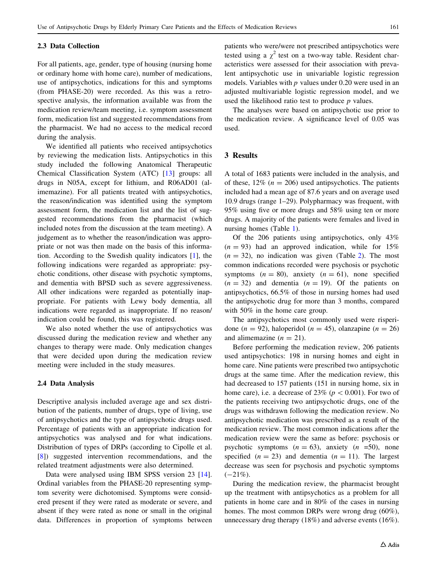#### 2.3 Data Collection

For all patients, age, gender, type of housing (nursing home or ordinary home with home care), number of medications, use of antipsychotics, indications for this and symptoms (from PHASE-20) were recorded. As this was a retrospective analysis, the information available was from the medication review/team meeting, i.e. symptom assessment form, medication list and suggested recommendations from the pharmacist. We had no access to the medical record during the analysis.

We identified all patients who received antipsychotics by reviewing the medication lists. Antipsychotics in this study included the following Anatomical Therapeutic Chemical Classification System (ATC) [[13\]](#page-6-0) groups: all drugs in N05A, except for lithium, and R06AD01 (alimemazine). For all patients treated with antipsychotics, the reason/indication was identified using the symptom assessment form, the medication list and the list of suggested recommendations from the pharmacist (which included notes from the discussion at the team meeting). A judgement as to whether the reason/indication was appropriate or not was then made on the basis of this information. According to the Swedish quality indicators [\[1](#page-6-0)], the following indications were regarded as appropriate: psychotic conditions, other disease with psychotic symptoms, and dementia with BPSD such as severe aggressiveness. All other indications were regarded as potentially inappropriate. For patients with Lewy body dementia, all indications were regarded as inappropriate. If no reason/ indication could be found, this was registered.

We also noted whether the use of antipsychotics was discussed during the medication review and whether any changes to therapy were made. Only medication changes that were decided upon during the medication review meeting were included in the study measures.

#### 2.4 Data Analysis

Descriptive analysis included average age and sex distribution of the patients, number of drugs, type of living, use of antipsychotics and the type of antipsychotic drugs used. Percentage of patients with an appropriate indication for antipsychotics was analysed and for what indications. Distribution of types of DRPs (according to Cipolle et al. [\[8](#page-6-0)]) suggested intervention recommendations, and the related treatment adjustments were also determined.

Data were analysed using IBM SPSS version 23 [\[14](#page-6-0)]. Ordinal variables from the PHASE-20 representing symptom severity were dichotomised. Symptoms were considered present if they were rated as moderate or severe, and absent if they were rated as none or small in the original data. Differences in proportion of symptoms between patients who were/were not prescribed antipsychotics were tested using a  $\chi^2$  test on a two-way table. Resident characteristics were assessed for their association with prevalent antipsychotic use in univariable logistic regression models. Variables with  $p$  values under 0.20 were used in an adjusted multivariable logistic regression model, and we used the likelihood ratio test to produce  $p$  values.

The analyses were based on antipsychotic use prior to the medication review. A significance level of 0.05 was used.

## 3 Results

A total of 1683 patients were included in the analysis, and of these,  $12\%$  ( $n = 206$ ) used antipsychotics. The patients included had a mean age of 87.6 years and on average used 10.9 drugs (range 1–29). Polypharmacy was frequent, with 95% using five or more drugs and 58% using ten or more drugs. A majority of the patients were females and lived in nursing homes (Table [1](#page-3-0)).

Of the 206 patients using antipsychotics, only 43%  $(n = 93)$  had an approved indication, while for 15%  $(n = 32)$  $(n = 32)$  $(n = 32)$ , no indication was given (Table 2). The most common indications recorded were psychosis or psychotic symptoms  $(n = 80)$ , anxiety  $(n = 61)$ , none specified  $(n = 32)$  and dementia  $(n = 19)$ . Of the patients on antipsychotics, 66.5% of those in nursing homes had used the antipsychotic drug for more than 3 months, compared with 50% in the home care group.

The antipsychotics most commonly used were risperidone (n = 92), haloperidol (n = 45), olanzapine (n = 26) and alimemazine  $(n = 21)$ .

Before performing the medication review, 206 patients used antipsychotics: 198 in nursing homes and eight in home care. Nine patients were prescribed two antipsychotic drugs at the same time. After the medication review, this had decreased to 157 patients (151 in nursing home, six in home care), i.e. a decrease of 23% ( $p < 0.001$ ). For two of the patients receiving two antipsychotic drugs, one of the drugs was withdrawn following the medication review. No antipsychotic medication was prescribed as a result of the medication review. The most common indications after the medication review were the same as before: psychosis or psychotic symptoms  $(n = 63)$ , anxiety  $(n = 50)$ , none specified  $(n = 23)$  and dementia  $(n = 11)$ . The largest decrease was seen for psychosis and psychotic symptoms  $(-21\%)$ .

During the medication review, the pharmacist brought up the treatment with antipsychotics as a problem for all patients in home care and in 80% of the cases in nursing homes. The most common DRPs were wrong drug (60%), unnecessary drug therapy (18%) and adverse events (16%).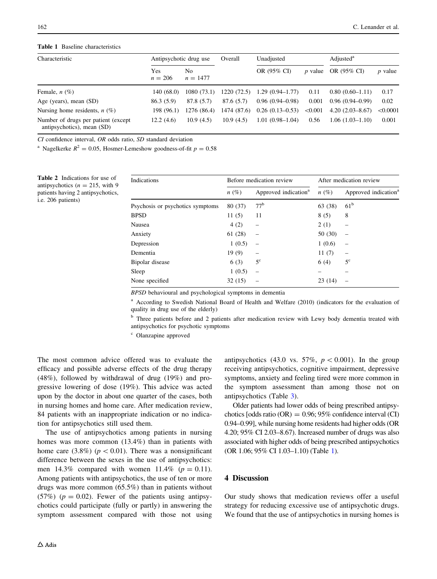#### <span id="page-3-0"></span>Table 1 Baseline characteristics

| Characteristic                                                     |                  | Antipsychotic drug use |            | Unadjusted                    |                | Adjusted <sup>a</sup> |           |
|--------------------------------------------------------------------|------------------|------------------------|------------|-------------------------------|----------------|-----------------------|-----------|
|                                                                    | Yes<br>$n = 206$ | No.<br>$n = 1477$      |            | OR (95% CI)                   | <i>p</i> value | OR (95% CI)           | $p$ value |
| Female, $n$ (%)                                                    | 140 (68.0)       | 1080(73.1)             | 1220(72.5) | $1.29(0.94 - 1.77)$           | 0.11           | $0.80(0.60-1.11)$     | 0.17      |
| Age (years), mean (SD)                                             | 86.3 (5.9)       | 87.8 (5.7)             | 87.6(5.7)  | $0.96(0.94 - 0.98)$           | 0.001          | $0.96(0.94 - 0.99)$   | 0.02      |
| Nursing home residents, $n(\%)$                                    | 198 (96.1)       | 1276 (86.4)            |            | $1474(87.6)$ 0.26 (0.13-0.53) | < 0.001        | $4.20(2.03-8.67)$     | < 0.0001  |
| Number of drugs per patient (except)<br>antipsychotics), mean (SD) | 12.2(4.6)        | 10.9(4.5)              | 10.9(4.5)  | $1.01(0.98-1.04)$             | 0.56           | $1.06(1.03-1.10)$     | 0.001     |

CI confidence interval, OR odds ratio, SD standard deviation

<sup>a</sup> Nagelkerke  $R^2 = 0.05$ , Hosmer-Lemeshow goodness-of-fit  $p = 0.58$ 

Table 2 Indications for use of antipsychotics ( $n = 215$ , with 9 patients having 2 antipsychotics, i.e. 206 patients)

| Indications                      |         | Before medication review         | After medication review |                                  |  |
|----------------------------------|---------|----------------------------------|-------------------------|----------------------------------|--|
|                                  | $n(\%)$ | Approved indication <sup>a</sup> | $n(\%)$                 | Approved indication <sup>a</sup> |  |
| Psychosis or psychotics symptoms | 80 (37) | 77 <sup>b</sup>                  | 63 (38)                 | 61 <sup>b</sup>                  |  |
| <b>BPSD</b>                      | 11(5)   | 11                               | 8(5)                    | 8                                |  |
| Nausea                           | 4(2)    |                                  | 2(1)                    |                                  |  |
| Anxiety                          | 61(28)  |                                  | 50 (30)                 | $\overline{\phantom{0}}$         |  |
| Depression                       | 1(0.5)  |                                  | 1(0.6)                  | $\overline{\phantom{0}}$         |  |
| Dementia                         | 19(9)   | -                                | 11(7)                   | -                                |  |
| Bipolar disease                  | 6(3)    | $5^{\circ}$                      | 6(4)                    | $5^{\circ}$                      |  |
| Sleep                            | 1(0.5)  |                                  |                         |                                  |  |
| None specified                   | 32(15)  |                                  | 23(14)                  |                                  |  |

BPSD behavioural and psychological symptoms in dementia

<sup>a</sup> According to Swedish National Board of Health and Welfare (2010) (indicators for the evaluation of quality in drug use of the elderly)

<sup>b</sup> Three patients before and 2 patients after medication review with Lewy body dementia treated with antipsychotics for psychotic symptoms

<sup>c</sup> Olanzapine approved

The most common advice offered was to evaluate the efficacy and possible adverse effects of the drug therapy (48%), followed by withdrawal of drug (19%) and progressive lowering of dose (19%). This advice was acted upon by the doctor in about one quarter of the cases, both in nursing homes and home care. After medication review, 84 patients with an inappropriate indication or no indication for antipsychotics still used them.

The use of antipsychotics among patients in nursing homes was more common (13.4%) than in patients with home care (3.8%) ( $p < 0.01$ ). There was a nonsignificant difference between the sexes in the use of antipsychotics: men 14.3% compared with women 11.4% ( $p = 0.11$ ). Among patients with antipsychotics, the use of ten or more drugs was more common (65.5%) than in patients without (57%) ( $p = 0.02$ ). Fewer of the patients using antipsychotics could participate (fully or partly) in answering the symptom assessment compared with those not using antipsychotics (43.0 vs. 57%,  $p < 0.001$ ). In the group receiving antipsychotics, cognitive impairment, depressive symptoms, anxiety and feeling tired were more common in the symptom assessment than among those not on antipsychotics (Table [3](#page-4-0)).

Older patients had lower odds of being prescribed antipsychotics [odds ratio (OR) =  $0.96$ ; 95% confidence interval (CI) 0.94–0.99], while nursing home residents had higher odds (OR 4.20; 95% CI 2.03–8.67). Increased number of drugs was also associated with higher odds of being prescribed antipsychotics (OR 1.06; 95% CI 1.03–1.10) (Table 1).

## 4 Discussion

Our study shows that medication reviews offer a useful strategy for reducing excessive use of antipsychotic drugs. We found that the use of antipsychotics in nursing homes is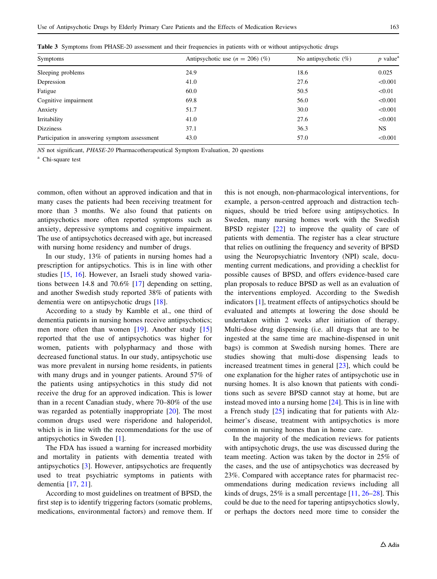| Symptoms                                      | Antipsychotic use $(n = 206)$ (%) | No antipsychotic $(\%)$ | $p$ value <sup>a</sup> |  |
|-----------------------------------------------|-----------------------------------|-------------------------|------------------------|--|
| Sleeping problems                             | 24.9                              | 18.6                    | 0.025                  |  |
| Depression                                    | 41.0                              | 27.6                    | < 0.001                |  |
| Fatigue                                       | 60.0                              | 50.5                    | < 0.01                 |  |
| Cognitive impairment                          | 69.8                              | 56.0                    | < 0.001                |  |
| Anxiety                                       | 51.7                              | 30.0                    | < 0.001                |  |
| Irritability                                  | 41.0                              | 27.6                    | < 0.001                |  |
| <b>Dizziness</b>                              | 37.1                              | 36.3                    | NS.                    |  |
| Participation in answering symptom assessment | 43.0                              | 57.0                    | < 0.001                |  |

<span id="page-4-0"></span>Table 3 Symptoms from PHASE-20 assessment and their frequencies in patients with or without antipsychotic drugs

NS not significant, PHASE-20 Pharmacotherapeutical Symptom Evaluation, 20 questions

<sup>a</sup> Chi-square test

common, often without an approved indication and that in many cases the patients had been receiving treatment for more than 3 months. We also found that patients on antipsychotics more often reported symptoms such as anxiety, depressive symptoms and cognitive impairment. The use of antipsychotics decreased with age, but increased with nursing home residency and number of drugs.

In our study, 13% of patients in nursing homes had a prescription for antipsychotics. This is in line with other studies [[15,](#page-6-0) [16\]](#page-6-0). However, an Israeli study showed variations between 14.8 and 70.6% [[17\]](#page-6-0) depending on setting, and another Swedish study reported 38% of patients with dementia were on antipsychotic drugs [[18\]](#page-6-0).

According to a study by Kamble et al., one third of dementia patients in nursing homes receive antipsychotics; men more often than women [\[19](#page-6-0)]. Another study [[15\]](#page-6-0) reported that the use of antipsychotics was higher for women, patients with polypharmacy and those with decreased functional status. In our study, antipsychotic use was more prevalent in nursing home residents, in patients with many drugs and in younger patients. Around 57% of the patients using antipsychotics in this study did not receive the drug for an approved indication. This is lower than in a recent Canadian study, where 70–80% of the use was regarded as potentially inappropriate [\[20](#page-6-0)]. The most common drugs used were risperidone and haloperidol, which is in line with the recommendations for the use of antipsychotics in Sweden [[1\]](#page-6-0).

The FDA has issued a warning for increased morbidity and mortality in patients with dementia treated with antipsychotics [[3](#page-6-0)]. However, antipsychotics are frequently used to treat psychiatric symptoms in patients with dementia [[17](#page-6-0), [21](#page-6-0)].

According to most guidelines on treatment of BPSD, the first step is to identify triggering factors (somatic problems, medications, environmental factors) and remove them. If this is not enough, non-pharmacological interventions, for example, a person-centred approach and distraction techniques, should be tried before using antipsychotics. In Sweden, many nursing homes work with the Swedish BPSD register [[22\]](#page-6-0) to improve the quality of care of patients with dementia. The register has a clear structure that relies on outlining the frequency and severity of BPSD using the Neuropsychiatric Inventory (NPI) scale, documenting current medications, and providing a checklist for possible causes of BPSD, and offers evidence-based care plan proposals to reduce BPSD as well as an evaluation of the interventions employed. According to the Swedish indicators [[1\]](#page-6-0), treatment effects of antipsychotics should be evaluated and attempts at lowering the dose should be undertaken within 2 weeks after initiation of therapy. Multi-dose drug dispensing (i.e. all drugs that are to be ingested at the same time are machine-dispensed in unit bags) is common at Swedish nursing homes. There are studies showing that multi-dose dispensing leads to increased treatment times in general [[23\]](#page-6-0), which could be one explanation for the higher rates of antipsychotic use in nursing homes. It is also known that patients with conditions such as severe BPSD cannot stay at home, but are instead moved into a nursing home [[24\]](#page-6-0). This is in line with a French study [[25\]](#page-6-0) indicating that for patients with Alzheimer's disease, treatment with antipsychotics is more common in nursing homes than in home care.

In the majority of the medication reviews for patients with antipsychotic drugs, the use was discussed during the team meeting. Action was taken by the doctor in 25% of the cases, and the use of antipsychotics was decreased by 23%. Compared with acceptance rates for pharmacist recommendations during medication reviews including all kinds of drugs, 25% is a small percentage [\[11](#page-6-0), [26–28](#page-6-0)]. This could be due to the need for tapering antipsychotics slowly, or perhaps the doctors need more time to consider the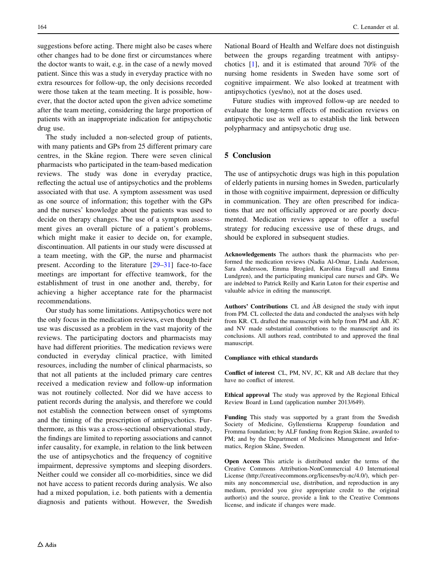suggestions before acting. There might also be cases where other changes had to be done first or circumstances where the doctor wants to wait, e.g. in the case of a newly moved patient. Since this was a study in everyday practice with no extra resources for follow-up, the only decisions recorded were those taken at the team meeting. It is possible, however, that the doctor acted upon the given advice sometime after the team meeting, considering the large proportion of patients with an inappropriate indication for antipsychotic drug use.

The study included a non-selected group of patients, with many patients and GPs from 25 different primary care centres, in the Skåne region. There were seven clinical pharmacists who participated in the team-based medication reviews. The study was done in everyday practice, reflecting the actual use of antipsychotics and the problems associated with that use. A symptom assessment was used as one source of information; this together with the GPs and the nurses' knowledge about the patients was used to decide on therapy changes. The use of a symptom assessment gives an overall picture of a patient's problems, which might make it easier to decide on, for example, discontinuation. All patients in our study were discussed at a team meeting, with the GP, the nurse and pharmacist present. According to the literature [\[29–31](#page-6-0)] face-to-face meetings are important for effective teamwork, for the establishment of trust in one another and, thereby, for achieving a higher acceptance rate for the pharmacist recommendations.

Our study has some limitations. Antipsychotics were not the only focus in the medication reviews, even though their use was discussed as a problem in the vast majority of the reviews. The participating doctors and pharmacists may have had different priorities. The medication reviews were conducted in everyday clinical practice, with limited resources, including the number of clinical pharmacists, so that not all patients at the included primary care centres received a medication review and follow-up information was not routinely collected. Nor did we have access to patient records during the analysis, and therefore we could not establish the connection between onset of symptoms and the timing of the prescription of antipsychotics. Furthermore, as this was a cross-sectional observational study, the findings are limited to reporting associations and cannot infer causality, for example, in relation to the link between the use of antipsychotics and the frequency of cognitive impairment, depressive symptoms and sleeping disorders. Neither could we consider all co-morbidities, since we did not have access to patient records during analysis. We also had a mixed population, i.e. both patients with a dementia diagnosis and patients without. However, the Swedish

National Board of Health and Welfare does not distinguish between the groups regarding treatment with antipsychotics [[1\]](#page-6-0), and it is estimated that around 70% of the nursing home residents in Sweden have some sort of cognitive impairment. We also looked at treatment with antipsychotics (yes/no), not at the doses used.

Future studies with improved follow-up are needed to evaluate the long-term effects of medication reviews on antipsychotic use as well as to establish the link between polypharmacy and antipsychotic drug use.

## 5 Conclusion

The use of antipsychotic drugs was high in this population of elderly patients in nursing homes in Sweden, particularly in those with cognitive impairment, depression or difficulty in communication. They are often prescribed for indications that are not officially approved or are poorly documented. Medication reviews appear to offer a useful strategy for reducing excessive use of these drugs, and should be explored in subsequent studies.

Acknowledgements The authors thank the pharmacists who performed the medication reviews (Nadia Al-Omar, Linda Andersson, Sara Andersson, Emma Brogård, Karolina Engvall and Emma Lundgren), and the participating municipal care nurses and GPs. We are indebted to Patrick Reilly and Karin Luton for their expertise and valuable advice in editing the manuscript.

Authors' Contributions CL and ÅB designed the study with input from PM. CL collected the data and conducted the analyses with help from KR. CL drafted the manuscript with help from PM and  $\angle$ AB. JC and NV made substantial contributions to the manuscript and its conclusions. All authors read, contributed to and approved the final manuscript.

#### Compliance with ethical standards

Conflict of interest CL, PM, NV, JC, KR and AB declare that they have no conflict of interest.

Ethical approval The study was approved by the Regional Ethical Review Board in Lund (application number 2013/649).

Funding This study was supported by a grant from the Swedish Society of Medicine, Gyllenstierna Krapperup foundation and Fromma foundation; by ALF funding from Region Skåne, awarded to PM; and by the Department of Medicines Management and Informatics, Region Skåne, Sweden.

Open Access This article is distributed under the terms of the Creative Commons Attribution-NonCommercial 4.0 International License (http://creativecommons.org/licenses/by-nc/4.0/), which permits any noncommercial use, distribution, and reproduction in any medium, provided you give appropriate credit to the original author(s) and the source, provide a link to the Creative Commons license, and indicate if changes were made.